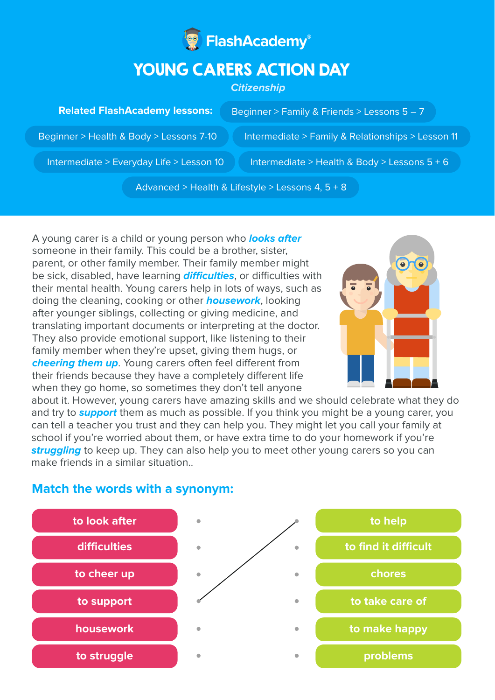

# YOUNG CARERS ACTION DAY

### **Citizenship**

#### **Related FlashAcademy lessons:**

Beginner > Family & Friends > Lessons 5 – 7

Beginner > Health & Body > Lessons 7-10 Intermediate > Family & Relationships > Lesson 11

Intermediate > Everyday Life > Lesson 10 Intermediate > Health & Body > Lessons  $5 + 6$ 

Advanced > Health & Lifestyle > Lessons 4, 5 + 8

A young carer is a child or young person who **looks after** someone in their family. This could be a brother, sister, parent, or other family member. Their family member might be sick, disabled, have learning **difficulties**, or difficulties with their mental health. Young carers help in lots of ways, such as doing the cleaning, cooking or other **housework**, looking after younger siblings, collecting or giving medicine, and translating important documents or interpreting at the doctor. They also provide emotional support, like listening to their family member when they're upset, giving them hugs, or **cheering them up.** Young carers often feel different from their friends because they have a completely different life when they go home, so sometimes they don't tell anyone



about it. However, young carers have amazing skills and we should celebrate what they do and try to **support** them as much as possible. If you think you might be a young carer, you can tell a teacher you trust and they can help you. They might let you call your family at school if you're worried about them, or have extra time to do your homework if you're **struggling** to keep up. They can also help you to meet other young carers so you can make friends in a similar situation

# **Match the words with a synonym:**